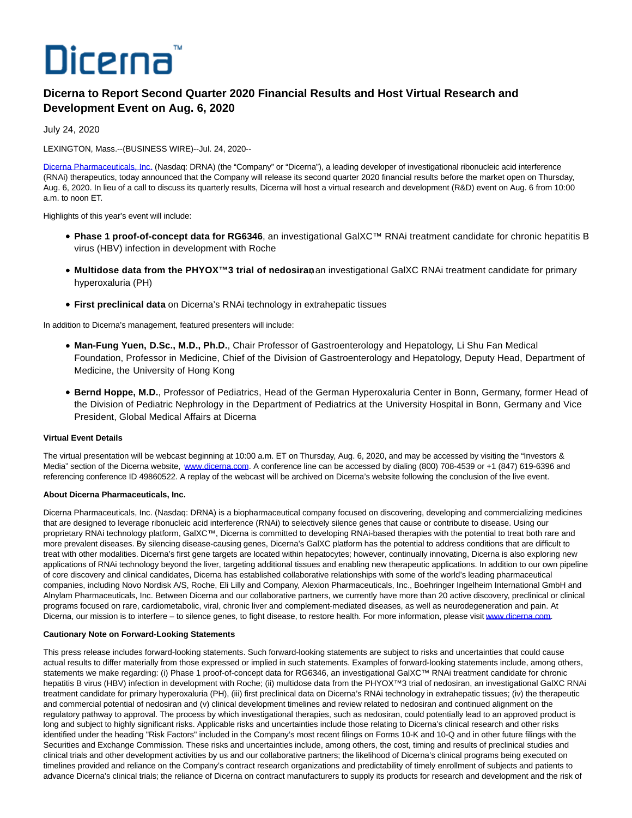# Dicerna

## **Dicerna to Report Second Quarter 2020 Financial Results and Host Virtual Research and Development Event on Aug. 6, 2020**

July 24, 2020

LEXINGTON, Mass.--(BUSINESS WIRE)--Jul. 24, 2020--

[Dicerna Pharmaceuticals, Inc. \(](https://cts.businesswire.com/ct/CT?id=smartlink&url=http%3A%2F%2Fwww.dicerna.com&esheet=52255306&newsitemid=20200724005179&lan=en-US&anchor=Dicerna+Pharmaceuticals%2C+Inc.&index=1&md5=539549f1aa9836a7cd0414980dc7422c)Nasdaq: DRNA) (the "Company" or "Dicerna"), a leading developer of investigational ribonucleic acid interference (RNAi) therapeutics, today announced that the Company will release its second quarter 2020 financial results before the market open on Thursday, Aug. 6, 2020. In lieu of a call to discuss its quarterly results, Dicerna will host a virtual research and development (R&D) event on Aug. 6 from 10:00 a.m. to noon ET.

Highlights of this year's event will include:

- **Phase 1 proof-of-concept data for RG6346**, an investigational GalXC™ RNAi treatment candidate for chronic hepatitis B virus (HBV) infection in development with Roche
- Multidose data from the PHYOX<sup>™</sup>3 trial of nedosiran an investigational GalXC RNAi treatment candidate for primary hyperoxaluria (PH)
- **First preclinical data** on Dicerna's RNAi technology in extrahepatic tissues

In addition to Dicerna's management, featured presenters will include:

- **Man-Fung Yuen, D.Sc., M.D., Ph.D.**, Chair Professor of Gastroenterology and Hepatology, Li Shu Fan Medical Foundation, Professor in Medicine, Chief of the Division of Gastroenterology and Hepatology, Deputy Head, Department of Medicine, the University of Hong Kong
- **Bernd Hoppe, M.D.**, Professor of Pediatrics, Head of the German Hyperoxaluria Center in Bonn, Germany, former Head of the Division of Pediatric Nephrology in the Department of Pediatrics at the University Hospital in Bonn, Germany and Vice President, Global Medical Affairs at Dicerna

### **Virtual Event Details**

The virtual presentation will be webcast beginning at 10:00 a.m. ET on Thursday, Aug. 6, 2020, and may be accessed by visiting the "Investors & Media" section of the Dicerna website, [www.dicerna.com.](https://cts.businesswire.com/ct/CT?id=smartlink&url=http%3A%2F%2Fwww.dicerna.com&esheet=52255306&newsitemid=20200724005179&lan=en-US&anchor=www.dicerna.com&index=2&md5=2da6544b64f1e8574c620fd22ea01677) A conference line can be accessed by dialing (800) 708-4539 or +1 (847) 619-6396 and referencing conference ID 49860522. A replay of the webcast will be archived on Dicerna's website following the conclusion of the live event.

### **About Dicerna Pharmaceuticals, Inc.**

Dicerna Pharmaceuticals, Inc. (Nasdaq: DRNA) is a biopharmaceutical company focused on discovering, developing and commercializing medicines that are designed to leverage ribonucleic acid interference (RNAi) to selectively silence genes that cause or contribute to disease. Using our proprietary RNAi technology platform, GalXC™, Dicerna is committed to developing RNAi-based therapies with the potential to treat both rare and more prevalent diseases. By silencing disease-causing genes, Dicerna's GalXC platform has the potential to address conditions that are difficult to treat with other modalities. Dicerna's first gene targets are located within hepatocytes; however, continually innovating, Dicerna is also exploring new applications of RNAi technology beyond the liver, targeting additional tissues and enabling new therapeutic applications. In addition to our own pipeline of core discovery and clinical candidates, Dicerna has established collaborative relationships with some of the world's leading pharmaceutical companies, including Novo Nordisk A/S, Roche, Eli Lilly and Company, Alexion Pharmaceuticals, Inc., Boehringer Ingelheim International GmbH and Alnylam Pharmaceuticals, Inc. Between Dicerna and our collaborative partners, we currently have more than 20 active discovery, preclinical or clinical programs focused on rare, cardiometabolic, viral, chronic liver and complement-mediated diseases, as well as neurodegeneration and pain. At Dicerna, our mission is to interfere – to silence genes, to fight disease, to restore health. For more information, please visi[t www.dicerna.com.](https://cts.businesswire.com/ct/CT?id=smartlink&url=http%3A%2F%2Fwww.dicerna.com&esheet=52255306&newsitemid=20200724005179&lan=en-US&anchor=www.dicerna.com&index=3&md5=753e7c97b0d255b18655cd7154a2618e)

#### **Cautionary Note on Forward-Looking Statements**

This press release includes forward-looking statements. Such forward-looking statements are subject to risks and uncertainties that could cause actual results to differ materially from those expressed or implied in such statements. Examples of forward-looking statements include, among others, statements we make regarding: (i) Phase 1 proof-of-concept data for RG6346, an investigational GalXC™ RNAi treatment candidate for chronic hepatitis B virus (HBV) infection in development with Roche; (ii) multidose data from the PHYOX™3 trial of nedosiran, an investigational GalXC RNAi treatment candidate for primary hyperoxaluria (PH), (iii) first preclinical data on Dicerna's RNAi technology in extrahepatic tissues; (iv) the therapeutic and commercial potential of nedosiran and (v) clinical development timelines and review related to nedosiran and continued alignment on the regulatory pathway to approval. The process by which investigational therapies, such as nedosiran, could potentially lead to an approved product is long and subject to highly significant risks. Applicable risks and uncertainties include those relating to Dicerna's clinical research and other risks identified under the heading "Risk Factors" included in the Company's most recent filings on Forms 10-K and 10-Q and in other future filings with the Securities and Exchange Commission. These risks and uncertainties include, among others, the cost, timing and results of preclinical studies and clinical trials and other development activities by us and our collaborative partners; the likelihood of Dicerna's clinical programs being executed on timelines provided and reliance on the Company's contract research organizations and predictability of timely enrollment of subjects and patients to advance Dicerna's clinical trials; the reliance of Dicerna on contract manufacturers to supply its products for research and development and the risk of